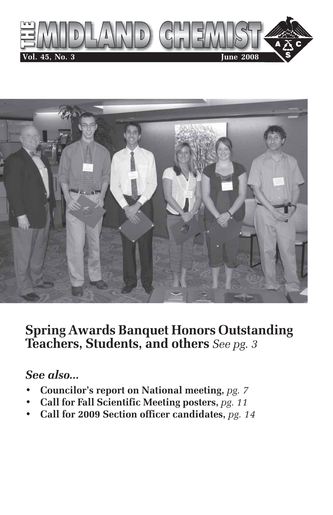



# **Spring Awards Banquet Honors Outstanding Teachers, Students, and others** *See pg. 3*

## *See also...*

- **Councilor's report on National meeting,** *pg. 7*
- **Call for Fall Scientific Meeting posters,** *pg. 11*
- **Call for 2009 Section officer candidates,** *pg. 14*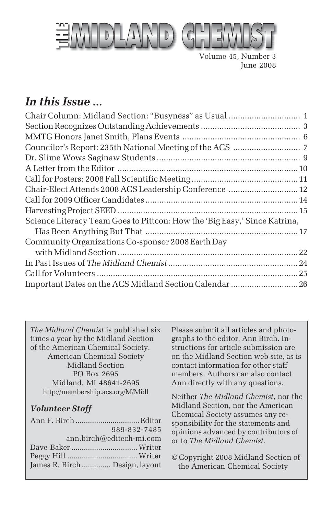

Volume 45, Number 3 June 2008

## *In this Issue ...*

| Chair-Elect Attends 2008 ACS Leadership Conference  12                    |  |
|---------------------------------------------------------------------------|--|
|                                                                           |  |
|                                                                           |  |
| Science Literacy Team Goes to Pittcon: How the 'Big Easy,' Since Katrina, |  |
|                                                                           |  |
| Community Organizations Co-sponsor 2008 Earth Day                         |  |
|                                                                           |  |
|                                                                           |  |
|                                                                           |  |
| Important Dates on the ACS Midland Section Calendar  26                   |  |
|                                                                           |  |

*The Midland Chemist* is published six times a year by the Midland Section of the American Chemical Society. American Chemical Society Midland Section PO Box 2695 Midland, MI 48641-2695 http://membership.acs.org/M/Midl

#### *Volunteer Staff*

| 989-832-7485                   |
|--------------------------------|
| $ann.birch@editech-mi.com$     |
|                                |
|                                |
| James R. Birch  Design, layout |
|                                |

Please submit all articles and photographs to the editor, Ann Birch. Instructions for article submission are on the Midland Section web site, as is contact information for other staff members. Authors can also contact Ann directly with any questions.

Neither *The Midland Chemist*, nor the Midland Section, nor the American Chemical Society assumes any responsibility for the statements and opinions advanced by contributors of or to *The Midland Chemist*.

© Copyright 2008 Midland Section of the American Chemical Society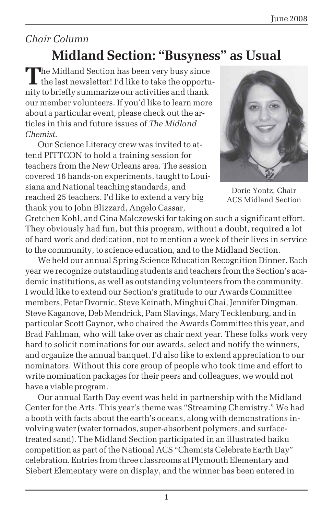# *Chair Column* **Midland Section: "Busyness" as Usual**

**T**he Midland Section has been very busy since I the last newsletter! I'd like to take the opportunity to briefly summarize our activities and thank our member volunteers. If you'd like to learn more about a particular event, please check out the articles in this and future issues of *The Midland Chemist*.

Our Science Literacy crew was invited to attend PITTCON to hold a training session for teachers from the New Orleans area. The session covered 16 hands-on experiments, taught to Louisiana and National teaching standards, and reached 25 teachers. I'd like to extend a very big thank you to John Blizzard, Angelo Cassar,



Dorie Yontz, Chair ACS Midland Section

Gretchen Kohl, and Gina Malczewski for taking on such a significant effort. They obviously had fun, but this program, without a doubt, required a lot of hard work and dedication, not to mention a week of their lives in service to the community, to science education, and to the Midland Section.

We held our annual Spring Science Education Recognition Dinner. Each year we recognize outstanding students and teachers from the Section's academic institutions, as well as outstanding volunteers from the community. I would like to extend our Section's gratitude to our Awards Committee members, Petar Dvornic, Steve Keinath, Minghui Chai, Jennifer Dingman, Steve Kaganove, Deb Mendrick, Pam Slavings, Mary Tecklenburg, and in particular Scott Gaynor, who chaired the Awards Committee this year, and Brad Fahlman, who will take over as chair next year. These folks work very hard to solicit nominations for our awards, select and notify the winners, and organize the annual banquet. I'd also like to extend appreciation to our nominators. Without this core group of people who took time and effort to write nomination packages for their peers and colleagues, we would not have a viable program.

Our annual Earth Day event was held in partnership with the Midland Center for the Arts. This year's theme was "Streaming Chemistry." We had a booth with facts about the earth's oceans, along with demonstrations involving water (water tornados, super-absorbent polymers, and surfacetreated sand). The Midland Section participated in an illustrated haiku competition as part of the National ACS "Chemists Celebrate Earth Day" celebration. Entries from three classrooms at Plymouth Elementary and Siebert Elementary were on display, and the winner has been entered in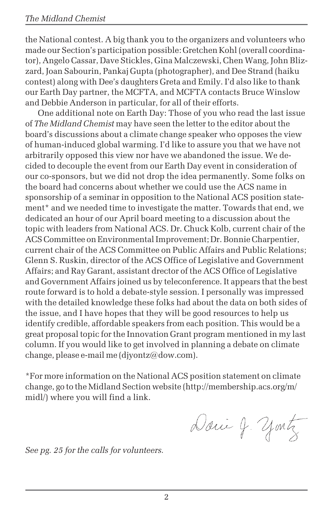the National contest. A big thank you to the organizers and volunteers who made our Section's participation possible: Gretchen Kohl (overall coordinator), Angelo Cassar, Dave Stickles, Gina Malczewski, Chen Wang, John Blizzard, Joan Sabourin, Pankaj Gupta (photographer), and Dee Strand (haiku contest) along with Dee's daughters Greta and Emily. I'd also like to thank our Earth Day partner, the MCFTA, and MCFTA contacts Bruce Winslow and Debbie Anderson in particular, for all of their efforts.

One additional note on Earth Day: Those of you who read the last issue of *The Midland Chemist* may have seen the letter to the editor about the board's discussions about a climate change speaker who opposes the view of human-induced global warming. I'd like to assure you that we have not arbitrarily opposed this view nor have we abandoned the issue. We decided to decouple the event from our Earth Day event in consideration of our co-sponsors, but we did not drop the idea permanently. Some folks on the board had concerns about whether we could use the ACS name in sponsorship of a seminar in opposition to the National ACS position statement\* and we needed time to investigate the matter. Towards that end, we dedicated an hour of our April board meeting to a discussion about the topic with leaders from National ACS. Dr. Chuck Kolb, current chair of the ACS Committee on Environmental Improvement; Dr. Bonnie Charpentier, current chair of the ACS Committee on Public Affairs and Public Relations; Glenn S. Ruskin, director of the ACS Office of Legislative and Government Affairs; and Ray Garant, assistant drector of the ACS Office of Legislative and Government Affairs joined us by teleconference. It appears that the best route forward is to hold a debate-style session. I personally was impressed with the detailed knowledge these folks had about the data on both sides of the issue, and I have hopes that they will be good resources to help us identify credible, affordable speakers from each position. This would be a great proposal topic for the Innovation Grant program mentioned in my last column. If you would like to get involved in planning a debate on climate change, please e-mail me (djyontz@dow.com).

\*For more information on the National ACS position statement on climate change, go to the Midland Section website (http://membership.acs.org/m/ midl/) where you will find a link.

Danie J. yontz

*See pg. 25 for the calls for volunteers.*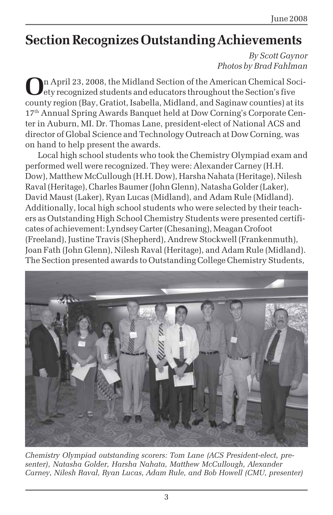# **Section Recognizes Outstanding Achievements**

*By Scott Gaynor Photos by Brad Fahlman*

**O**n April 23, 2008, the Midland Section of the American Chemical Society recognized students and educators throughout the Section's five county region (Bay, Gratiot, Isabella, Midland, and Saginaw counties) at its 17th Annual Spring Awards Banquet held at Dow Corning's Corporate Center in Auburn, MI. Dr. Thomas Lane, president-elect of National ACS and director of Global Science and Technology Outreach at Dow Corning, was on hand to help present the awards.

Local high school students who took the Chemistry Olympiad exam and performed well were recognized. They were: Alexander Carney (H.H. Dow), Matthew McCullough (H.H. Dow), Harsha Nahata (Heritage), Nilesh Raval (Heritage), Charles Baumer (John Glenn), Natasha Golder (Laker), David Maust (Laker), Ryan Lucas (Midland), and Adam Rule (Midland). Additionally, local high school students who were selected by their teachers as Outstanding High School Chemistry Students were presented certificates of achievement: Lyndsey Carter (Chesaning), Meagan Crofoot (Freeland), Justine Travis (Shepherd), Andrew Stockwell (Frankenmuth), Joan Fath (John Glenn), Nilesh Raval (Heritage), and Adam Rule (Midland). The Section presented awards to Outstanding College Chemistry Students,



*Chemistry Olympiad outstanding scorers: Tom Lane (ACS President-elect, presenter), Natasha Golder, Harsha Nahata, Matthew McCullough, Alexander Carney, Nilesh Raval, Ryan Lucas, Adam Rule, and Bob Howell (CMU, presenter)*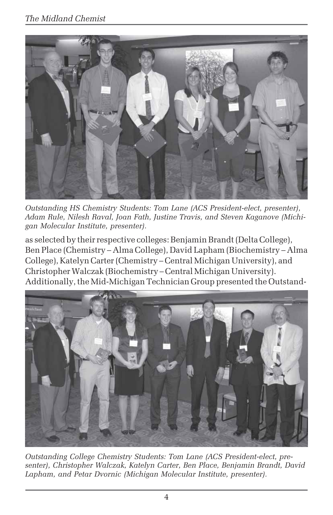

*Outstanding HS Chemistry Students: Tom Lane (ACS President-elect, presenter), Adam Rule, Nilesh Raval, Joan Fath, Justine Travis, and Steven Kaganove (Michigan Molecular Institute, presenter).*

as selected by their respective colleges: Benjamin Brandt (Delta College), Ben Place (Chemistry – Alma College), David Lapham (Biochemistry – Alma College), Katelyn Carter (Chemistry – Central Michigan University), and Christopher Walczak (Biochemistry – Central Michigan University). Additionally, the Mid-Michigan Technician Group presented the Outstand-



*Outstanding College Chemistry Students: Tom Lane (ACS President-elect, presenter), Christopher Walczak, Katelyn Carter, Ben Place, Benjamin Brandt, David Lapham, and Petar Dvornic (Michigan Molecular Institute, presenter).*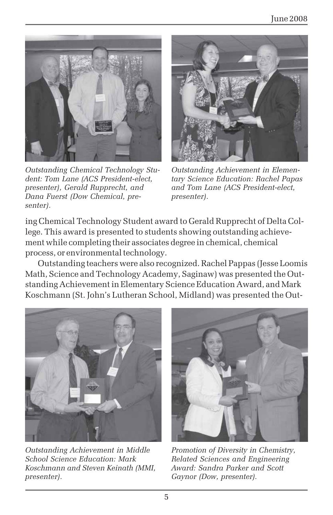

*Outstanding Chemical Technology Student: Tom Lane (ACS President-elect, presenter), Gerald Rupprecht, and Dana Fuerst (Dow Chemical, presenter).*



*Outstanding Achievement in Elementary Science Education: Rachel Papas and Tom Lane (ACS President-elect, presenter).*

ing Chemical Technology Student award to Gerald Rupprecht of Delta College. This award is presented to students showing outstanding achievement while completing their associates degree in chemical, chemical process, or environmental technology.

Outstanding teachers were also recognized. Rachel Pappas (Jesse Loomis Math, Science and Technology Academy, Saginaw) was presented the Outstanding Achievement in Elementary Science Education Award, and Mark Koschmann (St. John's Lutheran School, Midland) was presented the Out-



*Outstanding Achievement in Middle School Science Education: Mark Koschmann and Steven Keinath (MMI, presenter).*



*Promotion of Diversity in Chemistry, Related Sciences and Engineering Award: Sandra Parker and Scott Gaynor (Dow, presenter).*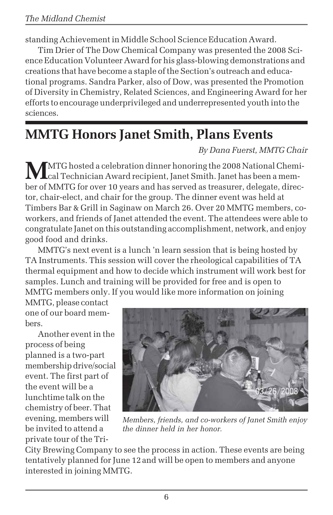standing Achievement in Middle School Science Education Award.

Tim Drier of The Dow Chemical Company was presented the 2008 Science Education Volunteer Award for his glass-blowing demonstrations and creations that have become a staple of the Section's outreach and educational programs. Sandra Parker, also of Dow, was presented the Promotion of Diversity in Chemistry, Related Sciences, and Engineering Award for her efforts to encourage underprivileged and underrepresented youth into the sciences.

# **MMTG Honors Janet Smith, Plans Events**

*By Dana Fuerst, MMTG Chair*

**MA**MTG hosted a celebration dinner honoring the 2008 National Chemi-<br>cal Technician Award recipient, Janet Smith. Janet has been a member of MMTG for over 10 years and has served as treasurer, delegate, director, chair-elect, and chair for the group. The dinner event was held at Timbers Bar & Grill in Saginaw on March 26. Over 20 MMTG members, coworkers, and friends of Janet attended the event. The attendees were able to congratulate Janet on this outstanding accomplishment, network, and enjoy good food and drinks.

MMTG's next event is a lunch 'n learn session that is being hosted by TA Instruments. This session will cover the rheological capabilities of TA thermal equipment and how to decide which instrument will work best for samples. Lunch and training will be provided for free and is open to MMTG members only. If you would like more information on joining

MMTG, please contact one of our board members.

Another event in the process of being planned is a two-part membership drive/social event. The first part of the event will be a lunchtime talk on the chemistry of beer. That evening, members will be invited to attend a private tour of the Tri-



*Members, friends, and co-workers of Janet Smith enjoy the dinner held in her honor.*

City Brewing Company to see the process in action. These events are being tentatively planned for June 12and will be open to members and anyone interested in joining MMTG.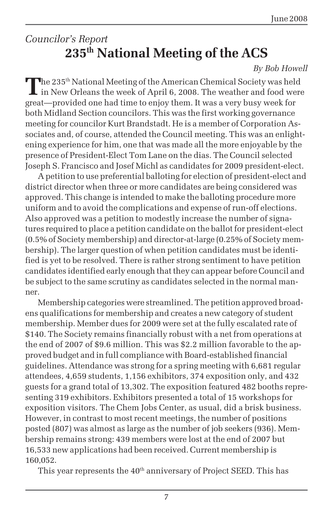## *Councilor's Report* **235th National Meeting of the ACS**

#### *By Bob Howell*

The 235<sup>th</sup> National Meeting of the American Chemical Society was held I in New Orleans the week of April 6, 2008. The weather and food were great—provided one had time to enjoy them. It was a very busy week for both Midland Section councilors. This was the first working governance meeting for councilor Kurt Brandstadt. He is a member of Corporation Associates and, of course, attended the Council meeting. This was an enlightening experience for him, one that was made all the more enjoyable by the presence of President-Elect Tom Lane on the dias. The Council selected Joseph S. Francisco and Josef Michl as candidates for 2009 president-elect.

A petition to use preferential balloting for election of president-elect and district director when three or more candidates are being considered was approved. This change is intended to make the balloting procedure more uniform and to avoid the complications and expense of run-off elections. Also approved was a petition to modestly increase the number of signatures required to place a petition candidate on the ballot for president-elect (0.5% of Society membership) and director-at-large (0.25% of Society membership). The larger question of when petition candidates must be identified is yet to be resolved. There is rather strong sentiment to have petition candidates identified early enough that they can appear before Council and be subject to the same scrutiny as candidates selected in the normal manner.

Membership categories were streamlined. The petition approved broadens qualifications for membership and creates a new category of student membership. Member dues for 2009 were set at the fully escalated rate of \$140. The Society remains financially robust with a net from operations at the end of 2007 of \$9.6 million. This was \$2.2 million favorable to the approved budget and in full compliance with Board-established financial guidelines. Attendance was strong for a spring meeting with 6,681 regular attendees, 4,659 students, 1,156 exhibitors, 374 exposition only, and 432 guests for a grand total of 13,302. The exposition featured 482 booths representing 319 exhibitors. Exhibitors presented a total of 15 workshops for exposition visitors. The Chem Jobs Center, as usual, did a brisk business. However, in contrast to most recent meetings, the number of positions posted (807) was almost as large as the number of job seekers (936). Membership remains strong: 439 members were lost at the end of 2007 but 16,533 new applications had been received. Current membership is 160,052.

This year represents the  $40<sup>th</sup>$  anniversary of Project SEED. This has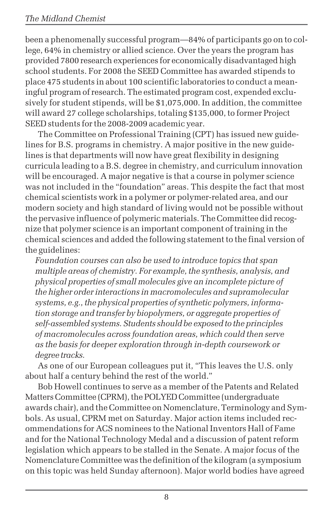been a phenomenally successful program—84% of participants go on to college, 64% in chemistry or allied science. Over the years the program has provided 7800 research experiences for economically disadvantaged high school students. For 2008 the SEED Committee has awarded stipends to place 475 students in about 100 scientific laboratories to conduct a meaningful program of research. The estimated program cost, expended exclusively for student stipends, will be \$1,075,000. In addition, the committee will award 27 college scholarships, totaling \$135,000, to former Project SEED students for the 2008-2009 academic year.

The Committee on Professional Training (CPT) has issued new guidelines for B.S. programs in chemistry. A major positive in the new guidelines is that departments will now have great flexibility in designing curricula leading to a B.S. degree in chemistry, and curriculum innovation will be encouraged. A major negative is that a course in polymer science was not included in the "foundation" areas. This despite the fact that most chemical scientists work in a polymer or polymer-related area, and our modern society and high standard of living would not be possible without the pervasive influence of polymeric materials. The Committee did recognize that polymer science is an important component of training in the chemical sciences and added the following statement to the final version of the guidelines:

*Foundation courses can also be used to introduce topics that span multiple areas of chemistry. For example, the synthesis, analysis, and physical properties of small molecules give an incomplete picture of the higher order interactions in macromolecules and supramolecular systems, e.g., the physical properties of synthetic polymers, information storage and transfer by biopolymers, or aggregate properties of self-assembled systems. Students should be exposed to the principles of macromolecules across foundation areas, which could then serve as the basis for deeper exploration through in-depth coursework or degree tracks.*

As one of our European colleagues put it, "This leaves the U.S. only about half a century behind the rest of the world."

Bob Howell continues to serve as a member of the Patents and Related Matters Committee (CPRM), the POLYED Committee (undergraduate awards chair), and the Committee on Nomenclature, Terminology and Symbols. As usual, CPRM met on Saturday. Major action items included recommendations for ACS nominees to the National Inventors Hall of Fame and for the National Technology Medal and a discussion of patent reform legislation which appears to be stalled in the Senate. A major focus of the Nomenclature Committee was the definition of the kilogram (a symposium on this topic was held Sunday afternoon). Major world bodies have agreed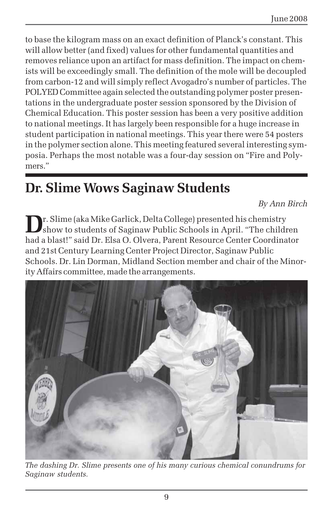to base the kilogram mass on an exact definition of Planck's constant. This will allow better (and fixed) values for other fundamental quantities and removes reliance upon an artifact for mass definition. The impact on chemists will be exceedingly small. The definition of the mole will be decoupled from carbon-12 and will simply reflect Avogadro's number of particles. The POLYED Committee again selected the outstanding polymer poster presentations in the undergraduate poster session sponsored by the Division of Chemical Education. This poster session has been a very positive addition to national meetings. It has largely been responsible for a huge increase in student participation in national meetings. This year there were 54 posters in the polymer section alone. This meeting featured several interesting symposia. Perhaps the most notable was a four-day session on "Fire and Polymers."

# **Dr. Slime Wows Saginaw Students**

*By Ann Birch*

**D**r. Slime (aka Mike Garlick, Delta College) presented his chemistry show to students of Saginaw Public Schools in April. "The children had a blast!" said Dr. Elsa O. Olvera, Parent Resource Center Coordinator and 21st Century Learning Center Project Director, Saginaw Public Schools. Dr. Lin Dorman, Midland Section member and chair of the Minority Affairs committee, made the arrangements.



*The dashing Dr. Slime presents one of his many curious chemical conundrums for Saginaw students.*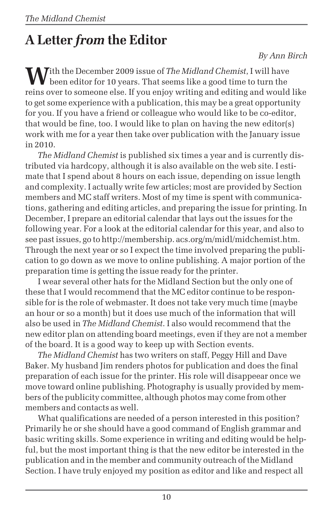# **A Letter** *from* **the Editor**

#### *By Ann Birch*

**W**ith the December 2009 issue of *The Midland Chemist*, I will have been editor for 10 years. That seems like a good time to turn the reins over to someone else. If you enjoy writing and editing and would like to get some experience with a publication, this may be a great opportunity for you. If you have a friend or colleague who would like to be co-editor, that would be fine, too. I would like to plan on having the new editor(s) work with me for a year then take over publication with the January issue in 2010.

*The Midland Chemist* is published six times a year and is currently distributed via hardcopy, although it is also available on the web site. I estimate that I spend about 8 hours on each issue, depending on issue length and complexity. I actually write few articles; most are provided by Section members and MC staff writers. Most of my time is spent with communications, gathering and editing articles, and preparing the issue for printing. In December, I prepare an editorial calendar that lays out the issues for the following year. For a look at the editorial calendar for this year, and also to see past issues, go to http://membership. acs.org/m/midl/midchemist.htm. Through the next year or so I expect the time involved preparing the publication to go down as we move to online publishing. A major portion of the preparation time is getting the issue ready for the printer.

I wear several other hats for the Midland Section but the only one of these that I would recommend that the MC editor continue to be responsible for is the role of webmaster. It does not take very much time (maybe an hour or so a month) but it does use much of the information that will also be used in *The Midland Chemist*. I also would recommend that the new editor plan on attending board meetings, even if they are not a member of the board. It is a good way to keep up with Section events.

*The Midland Chemist* has two writers on staff, Peggy Hill and Dave Baker. My husband Jim renders photos for publication and does the final preparation of each issue for the printer. His role will disappeear once we move toward online publishing. Photography is usually provided by members of the publicity committee, although photos may come from other members and contacts as well.

What qualifications are needed of a person interested in this position? Primarily he or she should have a good command of English grammar and basic writing skills. Some experience in writing and editing would be helpful, but the most important thing is that the new editor be interested in the publication and in the member and community outreach of the Midland Section. I have truly enjoyed my position as editor and like and respect all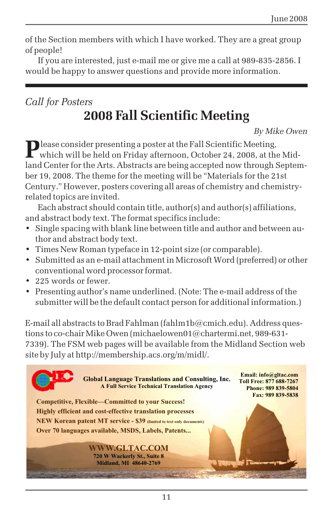of the Section members with which I have worked. They are a great group of people!

If you are interested, just e-mail me or give me a call at 989-835-2856. I would be happy to answer questions and provide more information.

### *Call for Posters* **2008 Fall Scientific Meeting**

*By Mike Owen*

**P**lease consider presenting a poster at the Fall Scientific Meeting,<br>which will be held on Friday afternoon, October 24, 2008, at the Midland Center for the Arts. Abstracts are being accepted now through September 19, 2008. The theme for the meeting will be "Materials for the 21st Century." However, posters covering all areas of chemistry and chemistryrelated topics are invited.

Each abstract should contain title, author(s) and author(s) affiliations, and abstract body text. The format specifics include:

- Single spacing with blank line between title and author and between author and abstract body text.
- Times New Roman typeface in 12-point size (or comparable).
- Submitted as an e-mail attachment in Microsoft Word (preferred) or other conventional word processor format.
- 225 words or fewer.
- Presenting author's name underlined. (Note: The e-mail address of the submitter will be the default contact person for additional information.)

E-mail all abstracts to Brad Fahlman (fahlm1b@cmich.edu). Address questions to co-chair Mike Owen (michaelowen01@chartermi.net, 989-631- 7339). The FSM web pages will be available from the Midland Section web site by July at http://membership.acs.org/m/midl/.

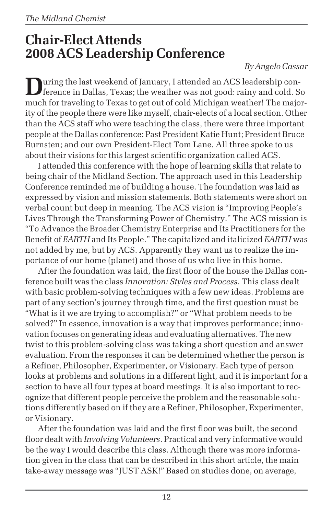# **Chair-Elect Attends 2008 ACS Leadership Conference**

#### *By Angelo Cassar*

**Quring the last weekend of January, I attended an ACS leadership con**ference in Dallas, Texas; the weather was not good: rainy and cold. So much for traveling to Texas to get out of cold Michigan weather! The majority of the people there were like myself, chair-elects of a local section. Other than the ACS staff who were teaching the class, there were three important people at the Dallas conference: Past President Katie Hunt; President Bruce Burnsten; and our own President-Elect Tom Lane. All three spoke to us about their visions for this largest scientific organization called ACS.

I attended this conference with the hope of learning skills that relate to being chair of the Midland Section. The approach used in this Leadership Conference reminded me of building a house. The foundation was laid as expressed by vision and mission statements. Both statements were short on verbal count but deep in meaning. The ACS vision is "Improving People's Lives Through the Transforming Power of Chemistry." The ACS mission is "To Advance the Broader Chemistry Enterprise and Its Practitioners for the Benefit of *EARTH* and Its People." The capitalized and italicized *EARTH* was not added by me, but by ACS. Apparently they want us to realize the importance of our home (planet) and those of us who live in this home.

After the foundation was laid, the first floor of the house the Dallas conference built was the class *Innovation: Styles and Process*. This class dealt with basic problem-solving techniques with a few new ideas. Problems are part of any section's journey through time, and the first question must be "What is it we are trying to accomplish?" or "What problem needs to be solved?" In essence, innovation is a way that improves performance; innovation focuses on generating ideas and evaluating alternatives. The new twist to this problem-solving class was taking a short question and answer evaluation. From the responses it can be determined whether the person is a Refiner, Philosopher, Experimenter, or Visionary. Each type of person looks at problems and solutions in a different light, and it is important for a section to have all four types at board meetings. It is also important to recognize that different people perceive the problem and the reasonable solutions differently based on if they are a Refiner, Philosopher, Experimenter, or Visionary.

After the foundation was laid and the first floor was built, the second floor dealt with *Involving Volunteers*. Practical and very informative would be the way I would describe this class. Although there was more information given in the class that can be described in this short article, the main take-away message was "JUST ASK!" Based on studies done, on average,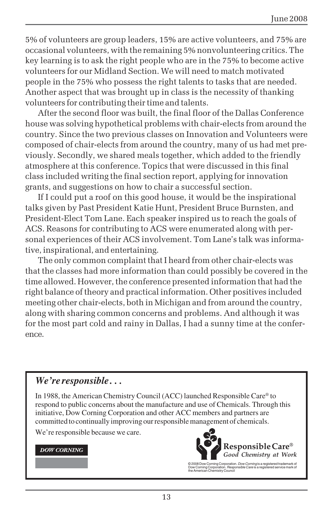5% of volunteers are group leaders, 15% are active volunteers, and 75% are occasional volunteers, with the remaining 5% nonvolunteering critics. The key learning is to ask the right people who are in the 75% to become active volunteers for our Midland Section. We will need to match motivated people in the 75% who possess the right talents to tasks that are needed. Another aspect that was brought up in class is the necessity of thanking volunteers for contributing their time and talents.

After the second floor was built, the final floor of the Dallas Conference house was solving hypothetical problems with chair-elects from around the country. Since the two previous classes on Innovation and Volunteers were composed of chair-elects from around the country, many of us had met previously. Secondly, we shared meals together, which added to the friendly atmosphere at this conference. Topics that were discussed in this final class included writing the final section report, applying for innovation grants, and suggestions on how to chair a successful section.

If I could put a roof on this good house, it would be the inspirational talks given by Past President Katie Hunt, President Bruce Burnsten, and President-Elect Tom Lane. Each speaker inspired us to reach the goals of ACS. Reasons for contributing to ACS were enumerated along with personal experiences of their ACS involvement. Tom Lane's talk was informative, inspirational, and entertaining.

The only common complaint that I heard from other chair-elects was that the classes had more information than could possibly be covered in the time allowed. However, the conference presented information that had the right balance of theory and practical information. Other positives included meeting other chair-elects, both in Michigan and from around the country, along with sharing common concerns and problems. And although it was for the most part cold and rainy in Dallas, I had a sunny time at the conference.

#### *We're responsible . . .*

In 1988, the American Chemistry Council (ACC) launched Responsible Care® to respond to public concerns about the manufacture and use of Chemicals. Through this initiative, Dow Corning Corporation and other ACC members and partners are committed to continually improving our responsible management of chemicals.

We're responsible because we care.

#### **DOW CORNING**



© 2008 Dow Corning Corporation. *Dow Corning* is a registered trademark of<br>Dow Corning Corporation. *Responsible Care* is a registered service mark of<br>the American Chemistry Council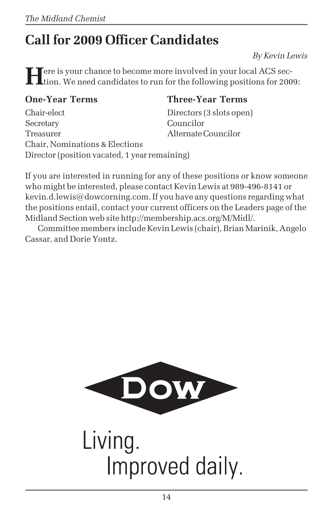# **Call for 2009 Officer Candidates**

*By Kevin Lewis*

**H**ere is your chance to become more involved in your local ACS section. We need candidates to run for the following positions for 2009:

Chair-elect Directors (3 slots open) Secretary Councilor Treasurer Alternate Councilor Chair, Nominations & Elections Director (position vacated, 1 year remaining)

#### **One-Year Terms Three-Year Terms**

If you are interested in running for any of these positions or know someone who might be interested, please contact Kevin Lewis at 989-496-8141 or kevin.d.lewis@dowcorning.com. If you have any questions regarding what the positions entail, contact your current officers on the Leaders page of the Midland Section web site http://membership.acs.org/M/Midl/.

Committee members include Kevin Lewis (chair), Brian Marinik, Angelo Cassar, and Dorie Yontz.



Living. Improved daily.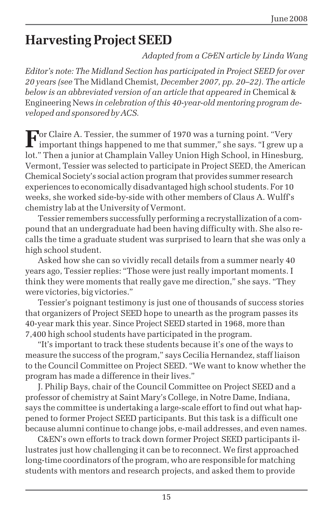# **Harvesting Project SEED**

*Adapted from a C&EN article by Linda Wang*

*Editor's note: The Midland Section has participated in Project SEED for over 20 years (see* The Midland Chemist*, December 2007, pp. 20–22). The article below is an abbreviated version of an article that appeared in* Chemical & Engineering News *in celebration of this 40-year-old mentoring program developed and sponsored by ACS.*

**For Claire A. Tessier, the summer of 1970 was a turning point. "Very**  $\Gamma$  important things happened to me that summer," she says. "I grew up a lot." Then a junior at Champlain Valley Union High School, in Hinesburg, Vermont, Tessier was selected to participate in Project SEED, the American Chemical Society's social action program that provides summer research experiences to economically disadvantaged high school students. For 10 weeks, she worked side-by-side with other members of Claus A. Wulff's chemistry lab at the University of Vermont.

Tessier remembers successfully performing a recrystallization of a compound that an undergraduate had been having difficulty with. She also recalls the time a graduate student was surprised to learn that she was only a high school student.

Asked how she can so vividly recall details from a summer nearly 40 years ago, Tessier replies: "Those were just really important moments. I think they were moments that really gave me direction," she says. "They were victories, big victories."

Tessier's poignant testimony is just one of thousands of success stories that organizers of Project SEED hope to unearth as the program passes its 40-year mark this year. Since Project SEED started in 1968, more than 7,400 high school students have participated in the program.

"It's important to track these students because it's one of the ways to measure the success of the program," says Cecilia Hernandez, staff liaison to the Council Committee on Project SEED. "We want to know whether the program has made a difference in their lives."

J. Philip Bays, chair of the Council Committee on Project SEED and a professor of chemistry at Saint Mary's College, in Notre Dame, Indiana, says the committee is undertaking a large-scale effort to find out what happened to former Project SEED participants. But this task is a difficult one because alumni continue to change jobs, e-mail addresses, and even names.

C&EN's own efforts to track down former Project SEED participants illustrates just how challenging it can be to reconnect. We first approached long-time coordinators of the program, who are responsible for matching students with mentors and research projects, and asked them to provide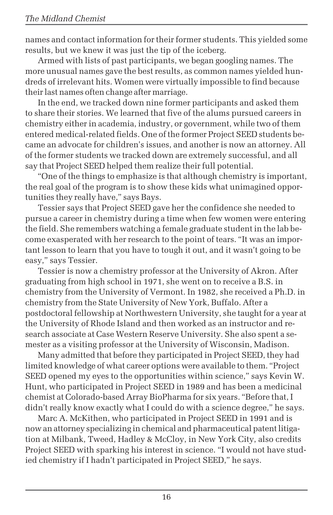names and contact information for their former students. This yielded some results, but we knew it was just the tip of the iceberg.

Armed with lists of past participants, we began googling names. The more unusual names gave the best results, as common names yielded hundreds of irrelevant hits. Women were virtually impossible to find because their last names often change after marriage.

In the end, we tracked down nine former participants and asked them to share their stories. We learned that five of the alums pursued careers in chemistry either in academia, industry, or government, while two of them entered medical-related fields. One of the former Project SEED students became an advocate for children's issues, and another is now an attorney. All of the former students we tracked down are extremely successful, and all say that Project SEED helped them realize their full potential.

"One of the things to emphasize is that although chemistry is important, the real goal of the program is to show these kids what unimagined opportunities they really have," says Bays.

Tessier says that Project SEED gave her the confidence she needed to pursue a career in chemistry during a time when few women were entering the field. She remembers watching a female graduate student in the lab become exasperated with her research to the point of tears. "It was an important lesson to learn that you have to tough it out, and it wasn't going to be easy," says Tessier.

Tessier is now a chemistry professor at the University of Akron. After graduating from high school in 1971, she went on to receive a B.S. in chemistry from the University of Vermont. In 1982, she received a Ph.D. in chemistry from the State University of New York, Buffalo. After a postdoctoral fellowship at Northwestern University, she taught for a year at the University of Rhode Island and then worked as an instructor and research associate at Case Western Reserve University. She also spent a semester as a visiting professor at the University of Wisconsin, Madison.

Many admitted that before they participated in Project SEED, they had limited knowledge of what career options were available to them. "Project SEED opened my eyes to the opportunities within science," says Kevin W. Hunt, who participated in Project SEED in 1989 and has been a medicinal chemist at Colorado-based Array BioPharma for six years. "Before that, I didn't really know exactly what I could do with a science degree," he says.

Marc A. McKithen, who participated in Project SEED in 1991 and is now an attorney specializing in chemical and pharmaceutical patent litigation at Milbank, Tweed, Hadley & McCloy, in New York City, also credits Project SEED with sparking his interest in science. "I would not have studied chemistry if I hadn't participated in Project SEED," he says.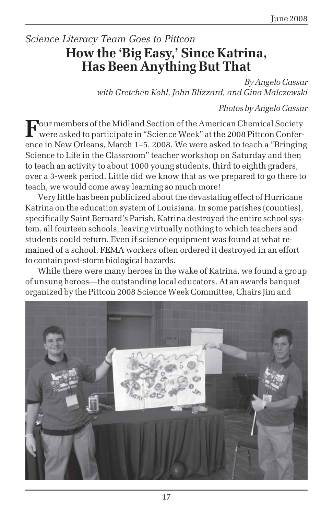## *Science Literacy Team Goes to Pittcon* **How the 'Big Easy,' Since Katrina, Has Been Anything But That**

*By Angelo Cassar with Gretchen Kohl, John Blizzard, and Gina Malczewski*

*Photos by Angelo Cassar*

**F**our members of the Midland Section of the American Chemical Society were asked to participate in "Science Week" at the 2008 Pittcon Conference in New Orleans, March 1–5, 2008. We were asked to teach a "Bringing Science to Life in the Classroom" teacher workshop on Saturday and then to teach an activity to about 1000 young students, third to eighth graders, over a 3-week period. Little did we know that as we prepared to go there to teach, we would come away learning so much more!

Very little has been publicized about the devastating effect of Hurricane Katrina on the education system of Louisiana. In some parishes (counties), specifically Saint Bernard's Parish, Katrina destroyed the entire school system, all fourteen schools, leaving virtually nothing to which teachers and students could return. Even if science equipment was found at what remained of a school, FEMA workers often ordered it destroyed in an effort to contain post-storm biological hazards.

While there were many heroes in the wake of Katrina, we found a group of unsung heroes—the outstanding local educators. At an awards banquet organized by the Pittcon 2008 Science Week Committee, Chairs Jim and

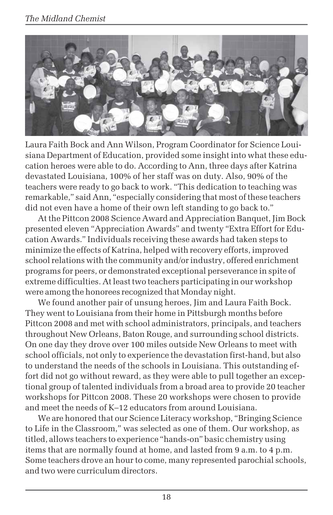#### *The Midland Chemist*



Laura Faith Bock and Ann Wilson, Program Coordinator for Science Louisiana Department of Education, provided some insight into what these education heroes were able to do. According to Ann, three days after Katrina devastated Louisiana, 100% of her staff was on duty. Also, 90% of the teachers were ready to go back to work. "This dedication to teaching was remarkable," said Ann, "especially considering that most of these teachers did not even have a home of their own left standing to go back to."

At the Pittcon 2008 Science Award and Appreciation Banquet, Jim Bock presented eleven "Appreciation Awards" and twenty "Extra Effort for Education Awards." Individuals receiving these awards had taken steps to minimize the effects of Katrina, helped with recovery efforts, improved school relations with the community and/or industry, offered enrichment programs for peers, or demonstrated exceptional perseverance in spite of extreme difficulties. At least two teachers participating in our workshop were among the honorees recognized that Monday night.

We found another pair of unsung heroes, Jim and Laura Faith Bock. They went to Louisiana from their home in Pittsburgh months before Pittcon 2008 and met with school administrators, principals, and teachers throughout New Orleans, Baton Rouge, and surrounding school districts. On one day they drove over 100 miles outside New Orleans to meet with school officials, not only to experience the devastation first-hand, but also to understand the needs of the schools in Louisiana. This outstanding effort did not go without reward, as they were able to pull together an exceptional group of talented individuals from a broad area to provide 20 teacher workshops for Pittcon 2008. These 20 workshops were chosen to provide and meet the needs of K–12 educators from around Louisiana.

We are honored that our Science Literacy workshop, "Bringing Science to Life in the Classroom," was selected as one of them. Our workshop, as titled, allows teachers to experience "hands-on" basic chemistry using items that are normally found at home, and lasted from 9 a.m. to 4 p.m. Some teachers drove an hour to come, many represented parochial schools, and two were curriculum directors.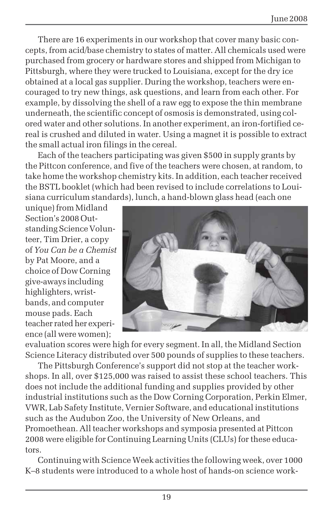There are 16 experiments in our workshop that cover many basic concepts, from acid/base chemistry to states of matter. All chemicals used were purchased from grocery or hardware stores and shipped from Michigan to Pittsburgh, where they were trucked to Louisiana, except for the dry ice obtained at a local gas supplier. During the workshop, teachers were encouraged to try new things, ask questions, and learn from each other. For example, by dissolving the shell of a raw egg to expose the thin membrane underneath, the scientific concept of osmosis is demonstrated, using colored water and other solutions. In another experiment, an iron-fortified cereal is crushed and diluted in water. Using a magnet it is possible to extract the small actual iron filings in the cereal.

Each of the teachers participating was given \$500 in supply grants by the Pittcon conference, and five of the teachers were chosen, at random, to take home the workshop chemistry kits. In addition, each teacher received the BSTL booklet (which had been revised to include correlations to Louisiana curriculum standards), lunch, a hand-blown glass head (each one

unique) from Midland Section's 2008 Outstanding Science Volunteer, Tim Drier, a copy of *You Can be a Chemist* by Pat Moore, and a choice of Dow Corning give-aways including highlighters, wristbands, and computer mouse pads. Each teacher rated her experience (all were women);



evaluation scores were high for every segment. In all, the Midland Section Science Literacy distributed over 500 pounds of supplies to these teachers.

The Pittsburgh Conference's support did not stop at the teacher workshops. In all, over \$125,000 was raised to assist these school teachers. This does not include the additional funding and supplies provided by other industrial institutions such as the Dow Corning Corporation, Perkin Elmer, VWR, Lab Safety Institute, Vernier Software, and educational institutions such as the Audubon Zoo, the University of New Orleans, and Promoethean. All teacher workshops and symposia presented at Pittcon 2008 were eligible for Continuing Learning Units (CLUs) for these educators.

Continuing with Science Week activities the following week, over 1000 K–8 students were introduced to a whole host of hands-on science work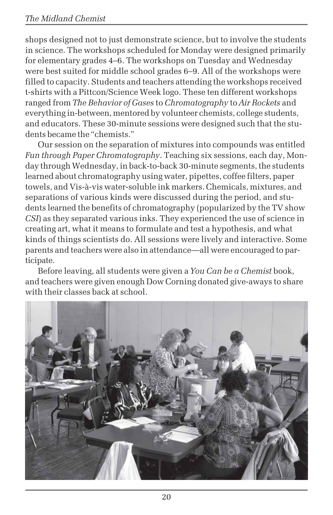shops designed not to just demonstrate science, but to involve the students in science. The workshops scheduled for Monday were designed primarily for elementary grades 4–6. The workshops on Tuesday and Wednesday were best suited for middle school grades 6–9. All of the workshops were filled to capacity. Students and teachers attending the workshops received t-shirts with a Pittcon/Science Week logo. These ten different workshops ranged from *The Behavior of Gases* to *Chromatography* to *Air Rockets* and everything in-between, mentored by volunteer chemists, college students, and educators. These 30-minute sessions were designed such that the students became the "chemists."

Our session on the separation of mixtures into compounds was entitled *Fun through Paper Chromatography*. Teaching six sessions, each day, Monday through Wednesday, in back-to-back 30-minute segments, the students learned about chromatography using water, pipettes, coffee filters, paper towels, and Vis-à-vis water-soluble ink markers. Chemicals, mixtures, and separations of various kinds were discussed during the period, and students learned the benefits of chromatography (popularized by the TV show *CSI*) as they separated various inks. They experienced the use of science in creating art, what it means to formulate and test a hypothesis, and what kinds of things scientists do. All sessions were lively and interactive. Some parents and teachers were also in attendance—all were encouraged to participate.

Before leaving, all students were given a *You Can be a Chemist* book, and teachers were given enough Dow Corning donated give-aways to share with their classes back at school.

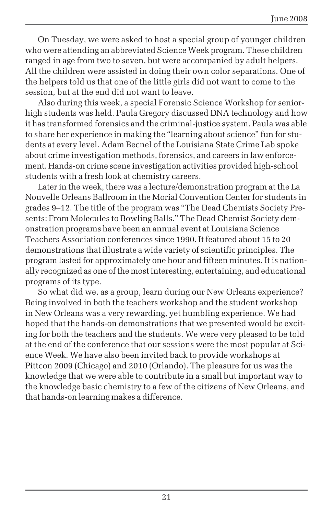On Tuesday, we were asked to host a special group of younger children who were attending an abbreviated Science Week program. These children ranged in age from two to seven, but were accompanied by adult helpers. All the children were assisted in doing their own color separations. One of the helpers told us that one of the little girls did not want to come to the session, but at the end did not want to leave.

Also during this week, a special Forensic Science Workshop for seniorhigh students was held. Paula Gregory discussed DNA technology and how it has transformed forensics and the criminal-justice system. Paula was able to share her experience in making the "learning about science" fun for students at every level. Adam Becnel of the Louisiana State Crime Lab spoke about crime investigation methods, forensics, and careers in law enforcement. Hands-on crime scene investigation activities provided high-school students with a fresh look at chemistry careers.

Later in the week, there was a lecture/demonstration program at the La Nouvelle Orleans Ballroom in the Morial Convention Center for students in grades 9–12. The title of the program was "The Dead Chemists Society Presents: From Molecules to Bowling Balls." The Dead Chemist Society demonstration programs have been an annual event at Louisiana Science Teachers Association conferences since 1990. It featured about 15 to 20 demonstrations that illustrate a wide variety of scientific principles. The program lasted for approximately one hour and fifteen minutes. It is nationally recognized as one of the most interesting, entertaining, and educational programs of its type.

So what did we, as a group, learn during our New Orleans experience? Being involved in both the teachers workshop and the student workshop in New Orleans was a very rewarding, yet humbling experience. We had hoped that the hands-on demonstrations that we presented would be exciting for both the teachers and the students. We were very pleased to be told at the end of the conference that our sessions were the most popular at Science Week. We have also been invited back to provide workshops at Pittcon 2009 (Chicago) and 2010 (Orlando). The pleasure for us was the knowledge that we were able to contribute in a small but important way to the knowledge basic chemistry to a few of the citizens of New Orleans, and that hands-on learning makes a difference.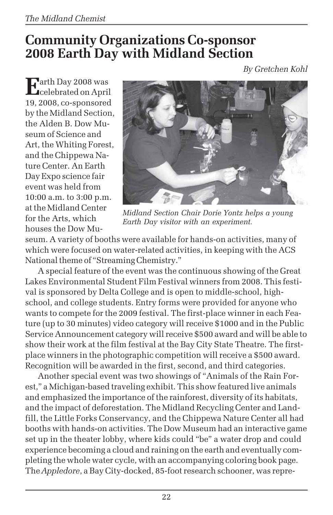# **Community Organizations Co-sponsor 2008 Earth Day with Midland Section**

*By Gretchen Kohl*

**E**arth Day 2008 was **C**celebrated on April 19, 2008, co-sponsored by the Midland Section, the Alden B. Dow Museum of Science and Art, the Whiting Forest, and the Chippewa Nature Center. An Earth Day Expo science fair event was held from 10:00 a.m. to 3:00 p.m. at the Midland Center for the Arts, which houses the Dow Mu-



*Midland Section Chair Dorie Yontz helps a young Earth Day visitor with an experiment.*

seum. A variety of booths were available for hands-on activities, many of which were focused on water-related activities, in keeping with the ACS National theme of "Streaming Chemistry."

A special feature of the event was the continuous showing of the Great Lakes Environmental Student Film Festival winners from 2008. This festival is sponsored by Delta College and is open to middle-school, highschool, and college students. Entry forms were provided for anyone who wants to compete for the 2009 festival. The first-place winner in each Feature (up to 30 minutes) video category will receive \$1000 and in the Public Service Announcement category will receive \$500 award and will be able to show their work at the film festival at the Bay City State Theatre. The firstplace winners in the photographic competition will receive a \$500 award. Recognition will be awarded in the first, second, and third categories.

Another special event was two showings of "Animals of the Rain Forest," a Michigan-based traveling exhibit. This show featured live animals and emphasized the importance of the rainforest, diversity of its habitats, and the impact of deforestation. The Midland Recycling Center and Landfill, the Little Forks Conservancy, and the Chippewa Nature Center all had booths with hands-on activities. The Dow Museum had an interactive game set up in the theater lobby, where kids could "be" a water drop and could experience becoming a cloud and raining on the earth and eventually completing the whole water cycle, with an accompanying coloring book page. The *Appledore*, a Bay City-docked, 85-foot research schooner, was repre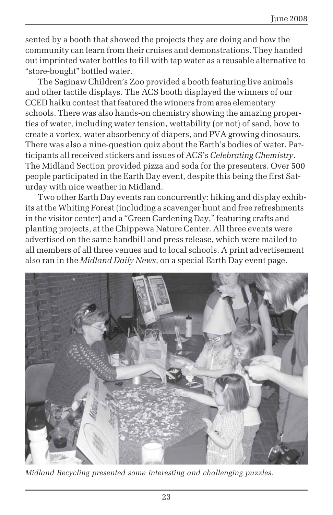sented by a booth that showed the projects they are doing and how the community can learn from their cruises and demonstrations. They handed out imprinted water bottles to fill with tap water as a reusable alternative to "store-bought" bottled water.

The Saginaw Children's Zoo provided a booth featuring live animals and other tactile displays. The ACS booth displayed the winners of our CCED haiku contest that featured the winners from area elementary schools. There was also hands-on chemistry showing the amazing properties of water, including water tension, wettability (or not) of sand, how to create a vortex, water absorbency of diapers, and PVA growing dinosaurs. There was also a nine-question quiz about the Earth's bodies of water. Participants all received stickers and issues of ACS's *Celebrating Chemistry*. The Midland Section provided pizza and soda for the presenters. Over 500 people participated in the Earth Day event, despite this being the first Saturday with nice weather in Midland.

Two other Earth Day events ran concurrently: hiking and display exhibits at the Whiting Forest (including a scavenger hunt and free refreshments in the visitor center) and a "Green Gardening Day," featuring crafts and planting projects, at the Chippewa Nature Center. All three events were advertised on the same handbill and press release, which were mailed to all members of all three venues and to local schools. A print advertisement also ran in the *Midland Daily News*, on a special Earth Day event page.



*Midland Recycling presented some interesting and challenging puzzles.*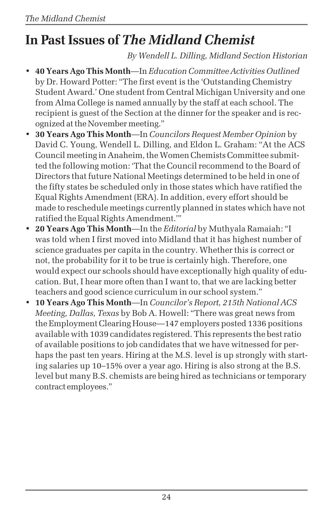# **In Past Issues of** *The Midland Chemist*

*By Wendell L. Dilling, Midland Section Historian*

- **40 Years Ago This Month**—In *Education Committee Activities Outlined* by Dr. Howard Potter: "The first event is the 'Outstanding Chemistry Student Award.' One student from Central Michigan University and one from Alma College is named annually by the staff at each school. The recipient is guest of the Section at the dinner for the speaker and is recognized at the November meeting."
- **30 Years Ago This Month**—In *Councilors Request Member Opinion* by David C. Young, Wendell L. Dilling, and Eldon L. Graham: "At the ACS Council meeting in Anaheim, the Women Chemists Committee submitted the following motion: 'That the Council recommend to the Board of Directors that future National Meetings determined to be held in one of the fifty states be scheduled only in those states which have ratified the Equal Rights Amendment (ERA). In addition, every effort should be made to reschedule meetings currently planned in states which have not ratified the Equal Rights Amendment.'"
- **20 Years Ago This Month**—In the *Editorial* by Muthyala Ramaiah: "I was told when I first moved into Midland that it has highest number of science graduates per capita in the country. Whether this is correct or not, the probability for it to be true is certainly high. Therefore, one would expect our schools should have exceptionally high quality of education. But, I hear more often than I want to, that we are lacking better teachers and good science curriculum in our school system."
- **10 Years Ago This Month**—In *Councilor's Report, 215th National ACS Meeting, Dallas, Texas* by Bob A. Howell: "There was great news from the Employment Clearing House—147 employers posted 1336 positions available with 1039 candidates registered. This represents the best ratio of available positions to job candidates that we have witnessed for perhaps the past ten years. Hiring at the M.S. level is up strongly with starting salaries up 10–15% over a year ago. Hiring is also strong at the B.S. level but many B.S. chemists are being hired as technicians or temporary contract employees."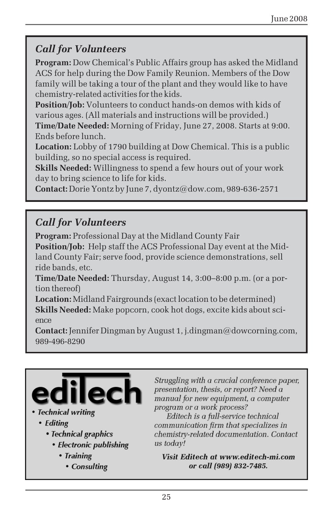## *Call for Volunteers*

**Program:** Dow Chemical's Public Affairs group has asked the Midland ACS for help during the Dow Family Reunion. Members of the Dow family will be taking a tour of the plant and they would like to have chemistry-related activities for the kids.

**Position/Job:** Volunteers to conduct hands-on demos with kids of various ages. (All materials and instructions will be provided.)

**Time/Date Needed:** Morning of Friday, June 27, 2008. Starts at 9:00. Ends before lunch.

**Location:** Lobby of 1790 building at Dow Chemical. This is a public building, so no special access is required.

**Skills Needed:** Willingness to spend a few hours out of your work day to bring science to life for kids.

**Contact:** Dorie Yontz by June 7, dyontz@dow.com, 989-636-2571

## *Call for Volunteers*

**Program:** Professional Day at the Midland County Fair **Position/Job:** Help staff the ACS Professional Day event at the Midland County Fair; serve food, provide science demonstrations, sell ride bands, etc.

**Time/Date Needed:** Thursday, August 14, 3:00–8:00 p.m. (or a portion thereof)

**Location:** Midland Fairgrounds (exact location to be determined) **Skills Needed:** Make popcorn, cook hot dogs, excite kids about science

**Contact:** Jennifer Dingman by August 1, j.dingman@dowcorning.com, 989-496-8290



#### • Technical writing

- Editing
	- Technical graphics
		- Electronic publishing
			- Training
				- Consulting

Struggling with a crucial conference paper, presentation, thesis, or report? Need a manual for new equipment, a computer program or a work process?

Editech is a full-service technical communication firm that specializes in chemistry-related documentation. Contact us todav!

Visit Editech at www.editech-mi.com or call (989) 832-7485.